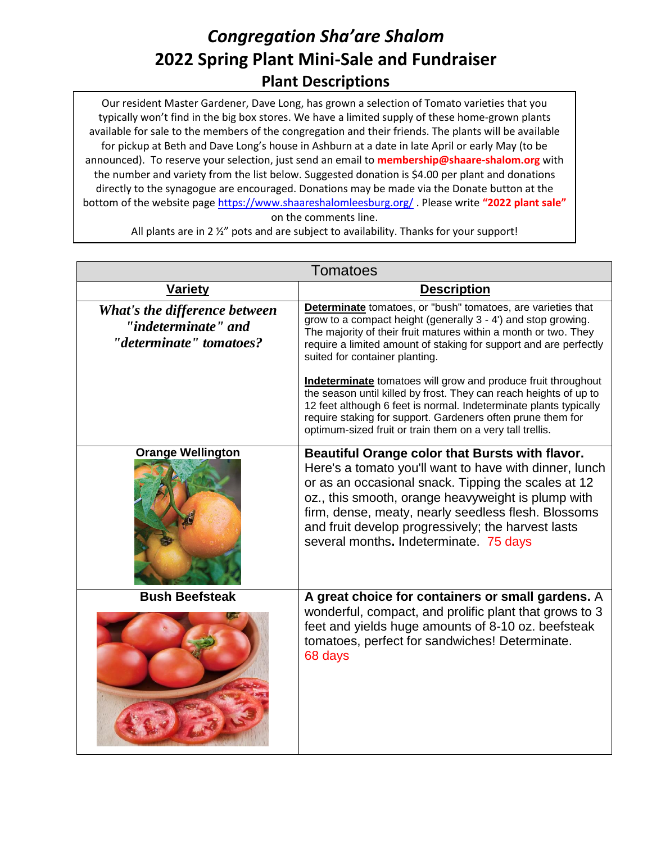## *Congregation Sha'are Shalom* **2022 Spring Plant Mini-Sale and Fundraiser Plant Descriptions**

Our resident Master Gardener, Dave Long, has grown a selection of Tomato varieties that you typically won't find in the big box stores. We have a limited supply of these home-grown plants available for sale to the members of the congregation and their friends. The plants will be available for pickup at Beth and Dave Long's house in Ashburn at a date in late April or early May (to be announced). To reserve your selection, just send an email to **membership@shaare-shalom.org** with the number and variety from the list below. Suggested donation is \$4.00 per plant and donations directly to the synagogue are encouraged. Donations may be made via the Donate button at the bottom of the website page<https://www.shaareshalomleesburg.org/> . Please write **"2022 plant sale"** on the comments line.

| <b>Tomatoes</b>                                                                 |                                                                                                                                                                                                                                                                                                                                                                               |  |
|---------------------------------------------------------------------------------|-------------------------------------------------------------------------------------------------------------------------------------------------------------------------------------------------------------------------------------------------------------------------------------------------------------------------------------------------------------------------------|--|
| Variety                                                                         | <b>Description</b>                                                                                                                                                                                                                                                                                                                                                            |  |
| What's the difference between<br>"indeterminate" and<br>"determinate" tomatoes? | <b>Determinate</b> tomatoes, or "bush" tomatoes, are varieties that<br>grow to a compact height (generally 3 - 4') and stop growing.<br>The majority of their fruit matures within a month or two. They<br>require a limited amount of staking for support and are perfectly<br>suited for container planting.                                                                |  |
|                                                                                 | <b>Indeterminate</b> tomatoes will grow and produce fruit throughout<br>the season until killed by frost. They can reach heights of up to<br>12 feet although 6 feet is normal. Indeterminate plants typically<br>require staking for support. Gardeners often prune them for<br>optimum-sized fruit or train them on a very tall trellis.                                    |  |
| <b>Orange Wellington</b>                                                        | Beautiful Orange color that Bursts with flavor.<br>Here's a tomato you'll want to have with dinner, lunch<br>or as an occasional snack. Tipping the scales at 12<br>oz., this smooth, orange heavyweight is plump with<br>firm, dense, meaty, nearly seedless flesh. Blossoms<br>and fruit develop progressively; the harvest lasts<br>several months. Indeterminate. 75 days |  |
| <b>Bush Beefsteak</b>                                                           | A great choice for containers or small gardens. A<br>wonderful, compact, and prolific plant that grows to 3<br>feet and yields huge amounts of 8-10 oz. beefsteak<br>tomatoes, perfect for sandwiches! Determinate.<br>68 days                                                                                                                                                |  |

All plants are in 2 %" pots and are subject to availability. Thanks for your support!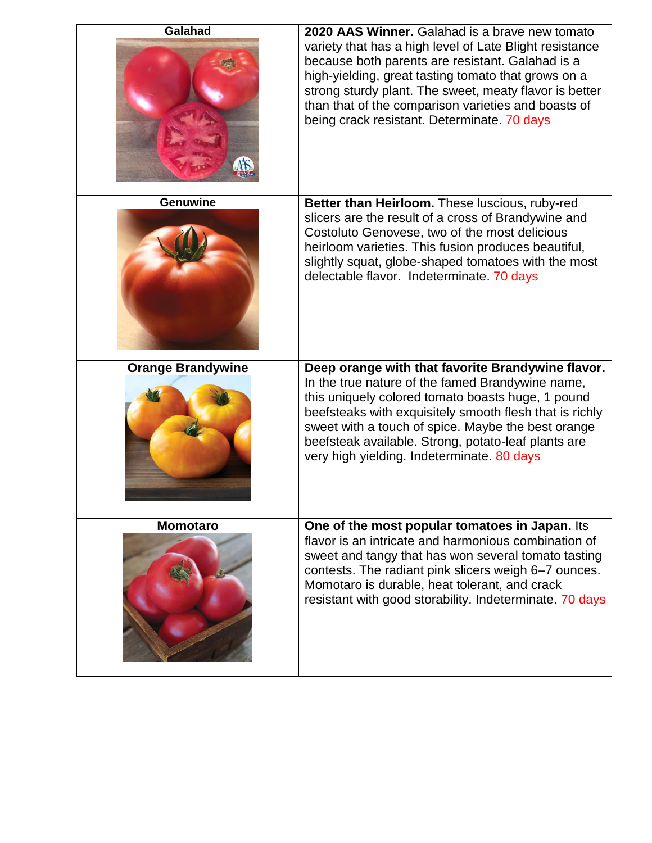| Galahad                  | 2020 AAS Winner. Galahad is a brave new tomato<br>variety that has a high level of Late Blight resistance<br>because both parents are resistant. Galahad is a<br>high-yielding, great tasting tomato that grows on a<br>strong sturdy plant. The sweet, meaty flavor is better<br>than that of the comparison varieties and boasts of<br>being crack resistant. Determinate. 70 days |
|--------------------------|--------------------------------------------------------------------------------------------------------------------------------------------------------------------------------------------------------------------------------------------------------------------------------------------------------------------------------------------------------------------------------------|
| <b>Genuwine</b>          | Better than Heirloom. These luscious, ruby-red<br>slicers are the result of a cross of Brandywine and<br>Costoluto Genovese, two of the most delicious<br>heirloom varieties. This fusion produces beautiful,<br>slightly squat, globe-shaped tomatoes with the most<br>delectable flavor. Indeterminate. 70 days                                                                    |
| <b>Orange Brandywine</b> | Deep orange with that favorite Brandywine flavor.<br>In the true nature of the famed Brandywine name,<br>this uniquely colored tomato boasts huge, 1 pound<br>beefsteaks with exquisitely smooth flesh that is richly<br>sweet with a touch of spice. Maybe the best orange<br>beefsteak available. Strong, potato-leaf plants are<br>very high yielding. Indeterminate. 80 days     |
| <b>Momotaro</b>          | One of the most popular tomatoes in Japan. Its<br>flavor is an intricate and harmonious combination of<br>sweet and tangy that has won several tomato tasting<br>contests. The radiant pink slicers weigh 6-7 ounces.<br>Momotaro is durable, heat tolerant, and crack<br>resistant with good storability. Indeterminate. 70 days                                                    |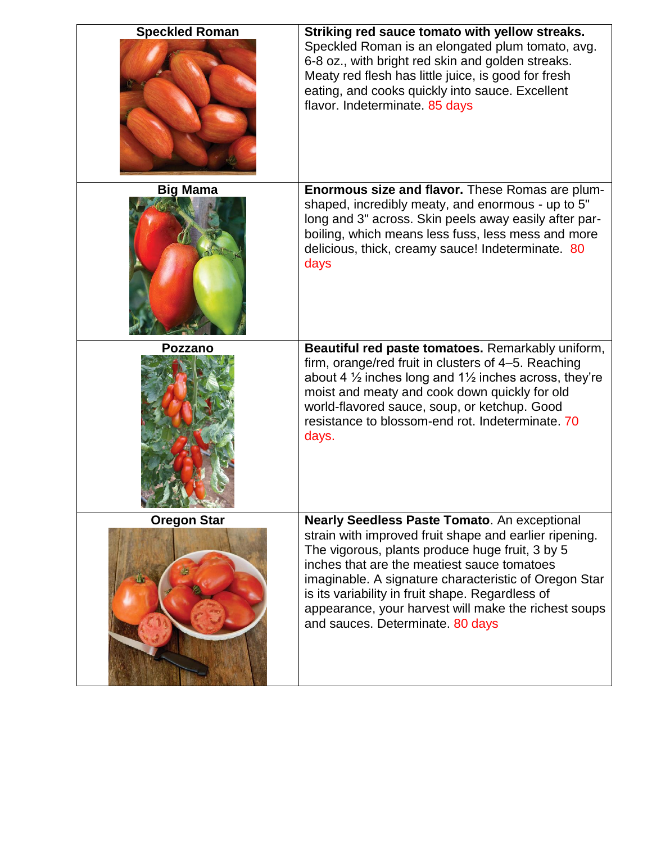| Striking red sauce tomato with yellow streaks.<br>Speckled Roman is an elongated plum tomato, avg.<br>6-8 oz., with bright red skin and golden streaks.<br>Meaty red flesh has little juice, is good for fresh<br>eating, and cooks quickly into sauce. Excellent<br>flavor. Indeterminate. 85 days                                                                                                                      |
|--------------------------------------------------------------------------------------------------------------------------------------------------------------------------------------------------------------------------------------------------------------------------------------------------------------------------------------------------------------------------------------------------------------------------|
| Enormous size and flavor. These Romas are plum-<br>shaped, incredibly meaty, and enormous - up to 5"<br>long and 3" across. Skin peels away easily after par-<br>boiling, which means less fuss, less mess and more<br>delicious, thick, creamy sauce! Indeterminate. 80<br>days                                                                                                                                         |
| Beautiful red paste tomatoes. Remarkably uniform,<br>firm, orange/red fruit in clusters of 4-5. Reaching<br>about 4 $\frac{1}{2}$ inches long and 1 $\frac{1}{2}$ inches across, they're<br>moist and meaty and cook down quickly for old<br>world-flavored sauce, soup, or ketchup. Good<br>resistance to blossom-end rot. Indeterminate. 70<br>days.                                                                   |
| <b>Nearly Seedless Paste Tomato. An exceptional</b><br>strain with improved fruit shape and earlier ripening.<br>The vigorous, plants produce huge fruit, 3 by 5<br>inches that are the meatiest sauce tomatoes<br>imaginable. A signature characteristic of Oregon Star<br>is its variability in fruit shape. Regardless of<br>appearance, your harvest will make the richest soups<br>and sauces. Determinate. 80 days |
|                                                                                                                                                                                                                                                                                                                                                                                                                          |